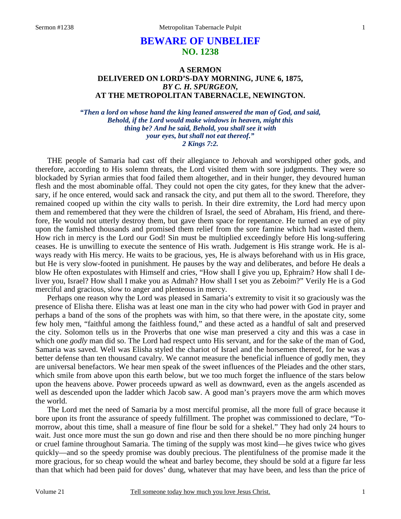# **BEWARE OF UNBELIEF NO. 1238**

# **A SERMON DELIVERED ON LORD'S-DAY MORNING, JUNE 6, 1875,**  *BY C. H. SPURGEON,*  **AT THE METROPOLITAN TABERNACLE, NEWINGTON.**

*"Then a lord on whose hand the king leaned answered the man of God, and said, Behold, if the Lord would make windows in heaven, might this thing be? And he said, Behold, you shall see it with your eyes, but shall not eat thereof." 2 Kings 7:2.* 

THE people of Samaria had cast off their allegiance to Jehovah and worshipped other gods, and therefore, according to His solemn threats, the Lord visited them with sore judgments. They were so blockaded by Syrian armies that food failed them altogether, and in their hunger, they devoured human flesh and the most abominable offal. They could not open the city gates, for they knew that the adversary, if he once entered, would sack and ransack the city, and put them all to the sword. Therefore, they remained cooped up within the city walls to perish. In their dire extremity, the Lord had mercy upon them and remembered that they were the children of Israel, the seed of Abraham, His friend, and therefore, He would not utterly destroy them, but gave them space for repentance. He turned an eye of pity upon the famished thousands and promised them relief from the sore famine which had wasted them. How rich in mercy is the Lord our God! Sin must be multiplied exceedingly before His long-suffering ceases. He is unwilling to execute the sentence of His wrath. Judgement is His strange work. He is always ready with His mercy. He waits to be gracious, yes, He is always beforehand with us in His grace, but He is very slow-footed in punishment. He pauses by the way and deliberates, and before He deals a blow He often expostulates with Himself and cries, "How shall I give you up, Ephraim? How shall I deliver you, Israel? How shall I make you as Admah? How shall I set you as Zeboim?" Verily He is a God merciful and gracious, slow to anger and plenteous in mercy.

 Perhaps one reason why the Lord was pleased in Samaria's extremity to visit it so graciously was the presence of Elisha there. Elisha was at least one man in the city who had power with God in prayer and perhaps a band of the sons of the prophets was with him, so that there were, in the apostate city, some few holy men, "faithful among the faithless found," and these acted as a handful of salt and preserved the city. Solomon tells us in the Proverbs that one wise man preserved a city and this was a case in which one *godly* man did so. The Lord had respect unto His servant, and for the sake of the man of God, Samaria was saved. Well was Elisha styled the chariot of Israel and the horsemen thereof, for he was a better defense than ten thousand cavalry. We cannot measure the beneficial influence of godly men, they are universal benefactors. We hear men speak of the sweet influences of the Pleiades and the other stars, which smile from above upon this earth below, but we too much forget the influence of the stars below upon the heavens above. Power proceeds upward as well as downward, even as the angels ascended as well as descended upon the ladder which Jacob saw. A good man's prayers move the arm which moves the world.

 The Lord met the need of Samaria by a most merciful promise, all the more full of grace because it bore upon its front the assurance of speedy fulfillment. The prophet was commissioned to declare, "Tomorrow, about this time, shall a measure of fine flour be sold for a shekel." They had only 24 hours to wait. Just once more must the sun go down and rise and then there should be no more pinching hunger or cruel famine throughout Samaria. The timing of the supply was most kind—he gives twice who gives quickly—and so the speedy promise was doubly precious. The plentifulness of the promise made it the more gracious, for so cheap would the wheat and barley become, they should be sold at a figure far less than that which had been paid for doves' dung, whatever that may have been, and less than the price of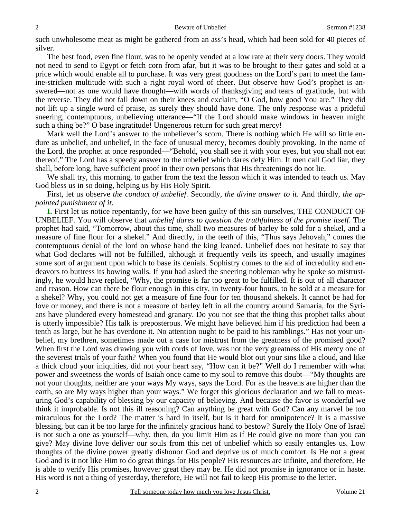such unwholesome meat as might be gathered from an ass's head, which had been sold for 40 pieces of silver.

 The best food, even fine flour, was to be openly vended at a low rate at their very doors. They would not need to send to Egypt or fetch corn from afar, but it was to be brought to their gates and sold at a price which would enable all to purchase. It was very great goodness on the Lord's part to meet the famine-stricken multitude with such a right royal word of cheer. But observe how God's prophet is answered—not as one would have thought—with words of thanksgiving and tears of gratitude, but with the reverse. They did not fall down on their knees and exclaim, "O God, how good You are." They did not lift up a single word of praise, as surely they should have done. The only response was a prideful sneering, contemptuous, unbelieving utterance—"If the Lord should make windows in heaven might such a thing be?" O base ingratitude! Ungenerous return for such great mercy!

 Mark well the Lord's answer to the unbeliever's scorn. There is nothing which He will so little endure as unbelief, and unbelief, in the face of unusual mercy, becomes doubly provoking. In the name of the Lord, the prophet at once responded—"Behold, you shall see it with your eyes, but you shall not eat thereof." The Lord has a speedy answer to the unbelief which dares defy Him. If men call God liar, they shall, before long, have sufficient proof in their own persons that His threatenings do not lie.

We shall try, this morning, to gather from the text the lesson which it was intended to teach us. May God bless us in so doing, helping us by His Holy Spirit.

 First, let us observe *the conduct of unbelief.* Secondly, *the divine answer to it*. And thirdly, *the appointed punishment of it*.

**I.** First let us notice repentantly, for we have been guilty of this sin ourselves, THE CONDUCT OF UNBELIEF. You will observe that *unbelief dares to question the truthfulness of the promise itself*. The prophet had said, "Tomorrow, about this time, shall two measures of barley be sold for a shekel, and a measure of fine flour for a shekel." And directly, in the teeth of this, "Thus says Jehovah," comes the contemptuous denial of the lord on whose hand the king leaned. Unbelief does not hesitate to say that what God declares will not be fulfilled, although it frequently veils its speech, and usually imagines some sort of argument upon which to base its denials. Sophistry comes to the aid of incredulity and endeavors to buttress its bowing walls. If you had asked the sneering nobleman why he spoke so mistrustingly, he would have replied, "Why, the promise is far too great to be fulfilled. It is out of all character and reason. How can there be flour enough in this city, in twenty-four hours, to be sold at a measure for a shekel? Why, you could not get a measure of fine four for ten thousand shekels. It cannot be had for love or money, and there is not a measure of barley left in all the country around Samaria, for the Syrians have plundered every homestead and granary. Do you not see that the thing this prophet talks about is utterly impossible? His talk is preposterous. We might have believed him if his prediction had been a tenth as large, but he has overdone it. No attention ought to be paid to his ramblings." Has not your unbelief, my brethren, sometimes made out a case for mistrust from the greatness of the promised good? When first the Lord was drawing you with cords of love, was not the very greatness of His mercy one of the severest trials of your faith? When you found that He would blot out your sins like a cloud, and like a thick cloud your iniquities, did not your heart say, "How can it be?" Well do I remember with what power and sweetness the words of Isaiah once came to my soul to remove this doubt—"My thoughts are not your thoughts, neither are your ways My ways, says the Lord. For as the heavens are higher than the earth, so are My ways higher than your ways." We forget this glorious declaration and we fall to measuring God's capability of blessing by our capacity of believing*.* And because the favor is wonderful we think it improbable. Is not this ill reasoning? Can anything be great with God? Can any marvel be too miraculous for the Lord? The matter is hard in itself, but is it hard for omnipotence? It is a massive blessing, but can it be too large for the infinitely gracious hand to bestow? Surely the Holy One of Israel is not such a one as yourself—why, then, do you limit Him as if He could give no more than you can give? May divine love deliver our souls from this net of unbelief which so easily entangles us. Low thoughts of the divine power greatly dishonor God and deprive us of much comfort. Is He not a great God and is it not like Him to do great things for His people? His resources are infinite, and therefore, He is able to verify His promises, however great they may be. He did not promise in ignorance or in haste. His word is not a thing of yesterday, therefore, He will not fail to keep His promise to the letter.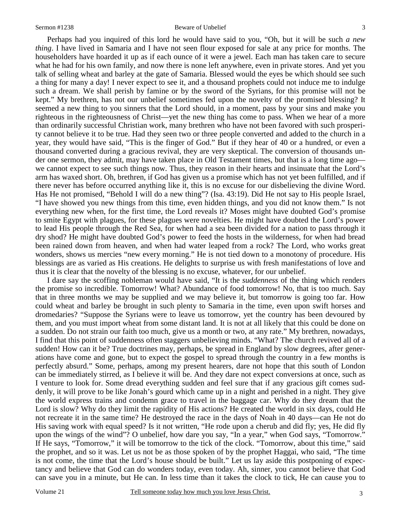Perhaps had you inquired of this lord he would have said to you, "Oh, but it will be such *a new thing*. I have lived in Samaria and I have not seen flour exposed for sale at any price for months. The householders have hoarded it up as if each ounce of it were a jewel. Each man has taken care to secure what he had for his own family, and now there is none left anywhere, even in private stores. And yet you talk of selling wheat and barley at the gate of Samaria. Blessed would the eyes be which should see such a thing for many a day! I never expect to see it, and a thousand prophets could not induce me to indulge such a dream. We shall perish by famine or by the sword of the Syrians, for this promise will not be kept." My brethren, has not our unbelief sometimes fed upon the novelty of the promised blessing? It seemed a new thing to you sinners that the Lord should, in a moment, pass by your sins and make you righteous in the righteousness of Christ—yet the new thing has come to pass. When we hear of a more than ordinarily successful Christian work, many brethren who have not been favored with such prosperity cannot believe it to be true. Had they seen two or three people converted and added to the church in a year, they would have said, "This is the finger of God." But if they hear of 40 or a hundred, or even a thousand converted during a gracious revival, they are very skeptical. The conversion of thousands under one sermon, they admit, may have taken place in Old Testament times, but that is a long time ago we cannot expect to see such things now. Thus, they reason in their hearts and insinuate that the Lord's arm has waxed short. Oh, brethren, if God has given us a promise which has not yet been fulfilled, and if there never has before occurred anything like it, this is no excuse for our disbelieving the divine Word. Has He not promised, "Behold I will do a new thing"? (Isa. 43:19). Did He not say to His people Israel, "I have showed you new things from this time, even hidden things, and you did not know them." Is not everything new when, for the first time, the Lord reveals it? Moses might have doubted God's promise to smite Egypt with plagues, for these plagues were novelties. He might have doubted the Lord's power to lead His people through the Red Sea, for when had a sea been divided for a nation to pass through it dry shod? He might have doubted God's power to feed the hosts in the wilderness, for when had bread been rained down from heaven, and when had water leaped from a rock? The Lord, who works great wonders, shows us mercies "new every morning." He is not tied down to a monotony of procedure. His blessings are as varied as His creations. He delights to surprise us with fresh manifestations of love and thus it is clear that the novelty of the blessing is no excuse, whatever, for our unbelief.

 I dare say the scoffing nobleman would have said, "It is the *suddenness* of the thing which renders the promise so incredible. Tomorrow! What? Abundance of food tomorrow! No, that is too much. Say that in three months we may be supplied and we may believe it, but tomorrow is going too far. How could wheat and barley be brought in such plenty to Samaria in the time, even upon swift horses and dromedaries? "Suppose the Syrians were to leave us tomorrow, yet the country has been devoured by them, and you must import wheat from some distant land. It is not at all likely that this could be done on a sudden. Do not strain our faith too much, give us a month or two, at any rate." My brethren, nowadays, I find that this point of suddenness often staggers unbelieving minds. "What? The church revived all of a sudden! How can it be? True doctrines may, perhaps, be spread in England by slow degrees, after generations have come and gone, but to expect the gospel to spread through the country in a few months is perfectly absurd." Some, perhaps, among my present hearers, dare not hope that this south of London can be immediately stirred, as I believe it will be. And they dare not expect conversions at once, such as I venture to look for. Some dread everything sudden and feel sure that if any gracious gift comes suddenly, it will prove to be like Jonah's gourd which came up in a night and perished in a night. They give the world express trains and condemn grace to travel in the baggage car. Why do they dream that the Lord is slow? Why do they limit the rapidity of His actions? He created the world in six days, could He not recreate it in the same time? He destroyed the race in the days of Noah in 40 days—can He not do His saving work with equal speed? Is it not written, "He rode upon a cherub and did fly; yes, He did fly upon the wings of the wind"? O unbelief, how dare you say, "In a year," when God says, "Tomorrow." If He says, "Tomorrow," it will be tomorrow to the tick of the clock. "Tomorrow, about this time," said the prophet, and so it was. Let us not be as those spoken of by the prophet Haggai, who said, "The time is not come, the time that the Lord's house should be built." Let us lay aside this postponing of expectancy and believe that God can do wonders today, even today. Ah, sinner, you cannot believe that God can save you in a minute, but He can. In less time than it takes the clock to tick, He can cause you to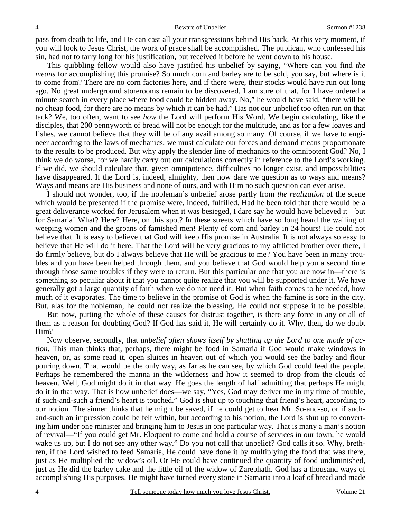pass from death to life, and He can cast all your transgressions behind His back. At this very moment, if you will look to Jesus Christ, the work of grace shall be accomplished. The publican, who confessed his sin, had not to tarry long for his justification, but received it before he went down to his house.

 This quibbling fellow would also have justified his unbelief by saying, "Where can you find *the means* for accomplishing this promise? So much corn and barley are to be sold, you say, but where is it to come from? There are no corn factories here, and if there were, their stocks would have run out long ago. No great underground storerooms remain to be discovered, I am sure of that, for I have ordered a minute search in every place where food could be hidden away. No," he would have said, "there will be no cheap food, for there are no means by which it can be had." Has not our unbelief too often run on that tack? We, too often, want to see *how* the Lord will perform His Word. We begin calculating, like the disciples, that 200 pennyworth of bread will not be enough for the multitude, and as for a few loaves and fishes, we cannot believe that they will be of any avail among so many. Of course, if we have to engineer according to the laws of mechanics, we must calculate our forces and demand means proportionate to the results to be produced. But why apply the slender line of mechanics to the omnipotent God? No, I think we do worse, for we hardly carry out our calculations correctly in reference to the Lord's working. If we did, we should calculate that, given omnipotence, difficulties no longer exist, and impossibilities have disappeared. If the Lord is, indeed, almighty, then how dare we question as to ways and means? Ways and means are His business and none of ours, and with Him no such question can ever arise.

 I should not wonder, too, if the nobleman's unbelief arose partly from *the realization* of the scene which would be presented if the promise were, indeed, fulfilled. Had he been told that there would be a great deliverance worked for Jerusalem when it was besieged, I dare say he would have believed it—but for Samaria! What? Here? Here, on this spot? In these streets which have so long heard the wailing of weeping women and the groans of famished men! Plenty of corn and barley in 24 hours! He could not believe that. It is easy to believe that God will keep His promise in Australia. It is not always so easy to believe that He will do it here. That the Lord will be very gracious to my afflicted brother over there, I do firmly believe, but do I always believe that He will be gracious to me? You have been in many troubles and you have been helped through them, and you believe that God would help you a second time through those same troubles if they were to return. But this particular one that you are now in—there is something so peculiar about it that you cannot quite realize that you will be supported under it. We have generally got a large quantity of faith when we do not need it. But when faith comes to be needed, how much of it evaporates. The time to believe in the promise of God is when the famine is sore in the city. But, alas for the nobleman, he could not realize the blessing. He could not suppose it to be possible.

 But now, putting the whole of these causes for distrust together, is there any force in any or all of them as a reason for doubting God? If God has said it, He will certainly do it. Why, then, do we doubt Him?

 Now observe, secondly, that *unbelief often shows itself by shutting up the Lord to one mode of action*. This man thinks that, perhaps, there might be food in Samaria if God would make windows in heaven, or, as some read it, open sluices in heaven out of which you would see the barley and flour pouring down. That would be the only way, as far as he can see, by which God could feed the people. Perhaps he remembered the manna in the wilderness and how it seemed to drop from the clouds of heaven. Well, God might do it in that way. He goes the length of half admitting that perhaps He might do it in that way. That is how unbelief does—we say, "Yes, God may deliver me in my time of trouble, if such-and-such a friend's heart is touched." God is shut up to touching that friend's heart, according to our notion. The sinner thinks that he might be saved, if he could get to hear Mr. So-and-so, or if suchand-such an impression could be felt within, but according to his notion, the Lord is shut up to converting him under one minister and bringing him to Jesus in one particular way. That is many a man's notion of revival—"If you could get Mr. Eloquent to come and hold a course of services in our town, he would wake us up, but I do not see any other way." Do you not call that unbelief? God calls it so. Why, brethren, if the Lord wished to feed Samaria, He could have done it by multiplying the food that was there, just as He multiplied the widow's oil. Or He could have continued the quantity of food undiminished, just as He did the barley cake and the little oil of the widow of Zarephath. God has a thousand ways of accomplishing His purposes. He might have turned every stone in Samaria into a loaf of bread and made

4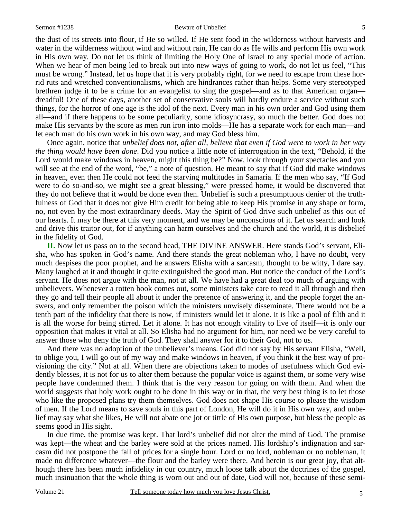the dust of its streets into flour, if He so willed. If He sent food in the wilderness without harvests and water in the wilderness without wind and without rain, He can do as He wills and perform His own work in His own way. Do not let us think of limiting the Holy One of Israel to any special mode of action. When we hear of men being led to break out into new ways of going to work, do not let us feel, "This must be wrong." Instead, let us hope that it is very probably right, for we need to escape from these horrid ruts and wretched conventionalisms, which are hindrances rather than helps. Some very stereotyped brethren judge it to be a crime for an evangelist to sing the gospel—and as to that American organ dreadful! One of these days, another set of conservative souls will hardly endure a service without such things, for the horror of one age is the idol of the next. Every man in his own order and God using them all—and if there happens to be some peculiarity, some idiosyncrasy, so much the better. God does not make His servants by the score as men run iron into molds—He has a separate work for each man—and let each man do his own work in his own way, and may God bless him.

 Once again, notice that *unbelief does not, after all, believe that even if God were to work in her way the thing would have been done*. Did you notice a little note of interrogation in the text, "Behold, if the Lord would make windows in heaven, might this thing be?" Now, look through your spectacles and you will see at the end of the word, "be," a note of question. He meant to say that if God did make windows in heaven, even then He could not feed the starving multitudes in Samaria. If the men who say, "If God were to do so-and-so, we might see a great blessing," were pressed home, it would be discovered that they do not believe that it would be done even then. Unbelief is such a presumptuous denier of the truthfulness of God that it does not give Him credit for being able to keep His promise in any shape or form, no, not even by the most extraordinary deeds. May the Spirit of God drive such unbelief as this out of our hearts. It may be there at this very moment, and we may be unconscious of it. Let us search and look and drive this traitor out, for if anything can harm ourselves and the church and the world, it is disbelief in the fidelity of God.

**II.** Now let us pass on to the second head, THE DIVINE ANSWER. Here stands God's servant, Elisha, who has spoken in God's name. And there stands the great nobleman who, I have no doubt, very much despises the poor prophet, and he answers Elisha with a sarcasm, thought to be witty, I dare say. Many laughed at it and thought it quite extinguished the good man. But notice the conduct of the Lord's servant. He does not argue with the man, not at all. We have had a great deal too much of arguing with unbelievers. Whenever a rotten book comes out, some ministers take care to read it all through and then they go and tell their people all about it under the pretence of answering it, and the people forget the answers, and only remember the poison which the ministers unwisely disseminate. There would not be a tenth part of the infidelity that there is now, if ministers would let it alone. It is like a pool of filth and it is all the worse for being stirred. Let it alone. It has not enough vitality to live of itself—it is only our opposition that makes it vital at all. So Elisha had no argument for him, nor need we be very careful to answer those who deny the truth of God. They shall answer for it to their God, not to us.

 And there was no adoption of the unbeliever's means. God did not say by His servant Elisha, "Well, to oblige you, I will go out of my way and make windows in heaven, if you think it the best way of provisioning the city." Not at all. When there are objections taken to modes of usefulness which God evidently blesses, it is not for us to alter them because the popular voice is against them, or some very wise people have condemned them. I think that is the very reason for going on with them. And when the world suggests that holy work ought to be done in this way or in that, the very best thing is to let those who like the proposed plans try them themselves. God does not shape His course to please the wisdom of men. If the Lord means to save souls in this part of London, He will do it in His own way, and unbelief may say what she likes, He will not abate one jot or tittle of His own purpose, but bless the people as seems good in His sight.

 In due time, the promise was kept. That lord's unbelief did not alter the mind of God. The promise was kept—the wheat and the barley were sold at the prices named. His lordship's indignation and sarcasm did not postpone the fall of prices for a single hour. Lord or no lord, nobleman or no nobleman, it made no difference whatever—the flour and the barley were there. And herein is our great joy, that although there has been much infidelity in our country, much loose talk about the doctrines of the gospel, much insinuation that the whole thing is worn out and out of date, God will not, because of these semi-

5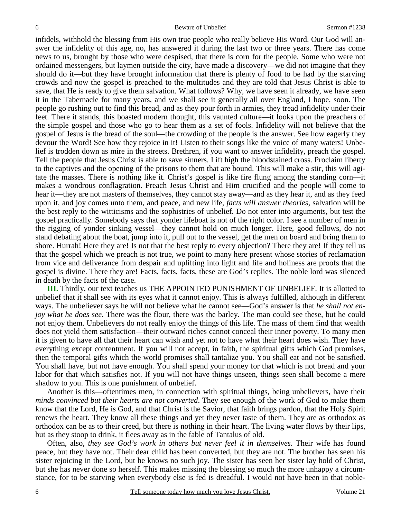infidels, withhold the blessing from His own true people who really believe His Word. Our God will answer the infidelity of this age, no, has answered it during the last two or three years. There has come news to us, brought by those who were despised, that there is corn for the people. Some who were not ordained messengers, but laymen outside the city, have made a discovery—we did not imagine that they should do it—but they have brought information that there is plenty of food to be had by the starving crowds and now the gospel is preached to the multitudes and they are told that Jesus Christ is able to save, that He is ready to give them salvation. What follows? Why, we have seen it already, we have seen it in the Tabernacle for many years, and we shall see it generally all over England, I hope, soon. The people go rushing out to find this bread, and as they pour forth in armies, they tread infidelity under their feet. There it stands, this boasted modern thought, this vaunted culture—it looks upon the preachers of the simple gospel and those who go to hear them as a set of fools. Infidelity will not believe that the gospel of Jesus is the bread of the soul—the crowding of the people is the answer. See how eagerly they devour the Word! See how they rejoice in it! Listen to their songs like the voice of many waters! Unbelief is trodden down as mire in the streets. Brethren, if you want to answer infidelity, preach the gospel. Tell the people that Jesus Christ is able to save sinners. Lift high the bloodstained cross. Proclaim liberty to the captives and the opening of the prisons to them that are bound. This will make a stir, this will agitate the masses. There is nothing like it. Christ's gospel is like fire flung among the standing corn—it makes a wondrous conflagration. Preach Jesus Christ and Him crucified and the people will come to hear it—they are not masters of themselves, they cannot stay away—and as they hear it, and as they feed upon it, and joy comes unto them, and peace, and new life, *facts will answer theories,* salvation will be the best reply to the witticisms and the sophistries of unbelief. Do not enter into arguments, but test the gospel practically. Somebody says that yonder lifeboat is not of the right color. I see a number of men in the rigging of yonder sinking vessel—they cannot hold on much longer. Here, good fellows, do not stand debating about the boat, jump into it, pull out to the vessel, get the men on board and bring them to shore. Hurrah! Here they are! Is not that the best reply to every objection? There they are! If they tell us that the gospel which we preach is not true, we point to many here present whose stories of reclamation from vice and deliverance from despair and uplifting into light and life and holiness are proofs that the gospel is divine. There they are! Facts, facts, facts, these are God's replies. The noble lord was silenced in death by the facts of the case.

**III.** Thirdly, our text teaches us THE APPOINTED PUNISHMENT OF UNBELIEF. It is allotted to unbelief that it shall see with its eyes what it cannot enjoy. This is always fulfilled, although in different ways. The unbeliever says he will not believe what he cannot see—God's answer is that *he shall not enjoy what he does see*. There was the flour, there was the barley. The man could see these, but he could not enjoy them. Unbelievers do not really enjoy the things of this life. The mass of them find that wealth does not yield them satisfaction—their outward riches cannot conceal their inner poverty. To many men it is given to have all that their heart can wish and yet not to have what their heart does wish. They have everything except contentment. If you will not accept, in faith, the spiritual gifts which God promises, then the temporal gifts which the world promises shall tantalize you. You shall eat and not be satisfied. You shall have, but not have enough. You shall spend your money for that which is not bread and your labor for that which satisfies not. If you will not have things unseen, things seen shall become a mere shadow to you. This is one punishment of unbelief.

 Another is this—oftentimes men, in connection with spiritual things, being unbelievers, have their *minds convinced but their hearts are not converted*. They see enough of the work of God to make them know that the Lord, He is God, and that Christ is the Savior, that faith brings pardon, that the Holy Spirit renews the heart. They know all these things and yet they never taste of them. They are as orthodox as orthodox can be as to their creed, but there is nothing in their heart. The living water flows by their lips, but as they stoop to drink, it flees away as in the fable of Tantalus of old.

 Often, also, *they see God's work in others but never feel it in themselves*. Their wife has found peace, but they have not. Their dear child has been converted, but they are not. The brother has seen his sister rejoicing in the Lord, but he knows no such joy. The sister has seen her sister lay hold of Christ, but she has never done so herself. This makes missing the blessing so much the more unhappy a circumstance, for to be starving when everybody else is fed is dreadful. I would not have been in that noble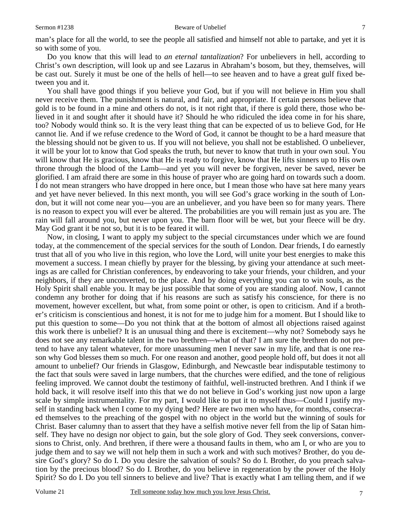man's place for all the world, to see the people all satisfied and himself not able to partake, and yet it is so with some of you.

 Do you know that this will lead to *an eternal tantalization*? For unbelievers in hell, according to Christ's own description, will look up and see Lazarus in Abraham's bosom, but they, themselves, will be cast out. Surely it must be one of the hells of hell—to see heaven and to have a great gulf fixed between you and it.

 You shall have good things if you believe your God, but if you will not believe in Him you shall never receive them. The punishment is natural, and fair, and appropriate. If certain persons believe that gold is to be found in a mine and others do not, is it not right that, if there is gold there, those who believed in it and sought after it should have it? Should he who ridiculed the idea come in for his share, too? Nobody would think so. It is the very least thing that can be expected of us to believe God, for He cannot lie. And if we refuse credence to the Word of God, it cannot be thought to be a hard measure that the blessing should not be given to us. If you will not believe, you shall not be established. O unbeliever, it will be your lot to know that God speaks the truth, but never to know that truth in your own soul. You will know that He is gracious, know that He is ready to forgive, know that He lifts sinners up to His own throne through the blood of the Lamb—and yet you will never be forgiven, never be saved, never be glorified. I am afraid there are some in this house of prayer who are going hard on towards such a doom. I do not mean strangers who have dropped in here once, but I mean those who have sat here many years and yet have never believed. In this next month, you will see God's grace working in the south of London, but it will not come near you—you are an unbeliever, and you have been so for many years. There is no reason to expect you will ever be altered. The probabilities are you will remain just as you are. The rain will fall around you, but never upon you. The barn floor will be wet, but your fleece will be dry. May God grant it be not so, but it is to be feared it will.

 Now, in closing, I want to apply my subject to the special circumstances under which we are found today, at the commencement of the special services for the south of London. Dear friends, I do earnestly trust that all of you who live in this region, who love the Lord, will unite your best energies to make this movement a success. I mean chiefly by prayer for the blessing, by giving your attendance at such meetings as are called for Christian conferences, by endeavoring to take your friends, your children, and your neighbors, if they are unconverted, to the place. And by doing everything you can to win souls, as the Holy Spirit shall enable you. It may be just possible that some of you are standing aloof. Now, I cannot condemn any brother for doing that if his reasons are such as satisfy his conscience, for there is no movement, however excellent, but what, from some point or other, is open to criticism. And if a brother's criticism is conscientious and honest, it is not for me to judge him for a moment. But I should like to put this question to some—Do you not think that at the bottom of almost all objections raised against this work there is unbelief? It is an unusual thing and there is excitement—why not? Somebody says he does not see any remarkable talent in the two brethren—what of that? I am sure the brethren do not pretend to have any talent whatever, for more unassuming men I never saw in my life, and that is one reason why God blesses them so much. For one reason and another, good people hold off, but does it not all amount to unbelief? Our friends in Glasgow, Edinburgh, and Newcastle bear indisputable testimony to the fact that souls were saved in large numbers, that the churches were edified, and the tone of religious feeling improved. We cannot doubt the testimony of faithful, well-instructed brethren. And I think if we hold back, it will resolve itself into this that we do not believe in God's working just now upon a large scale by simple instrumentality. For my part, I would like to put it to myself thus—Could I justify myself in standing back when I come to my dying bed? Here are two men who have, for months, consecrated themselves to the preaching of the gospel with no object in the world but the winning of souls for Christ. Baser calumny than to assert that they have a selfish motive never fell from the lip of Satan himself. They have no design nor object to gain, but the sole glory of God. They seek conversions, conversions to Christ, only. And brethren, if there were a thousand faults in them, who am I, or who are you to judge them and to say we will not help them in such a work and with such motives? Brother, do you desire God's glory? So do I. Do you desire the salvation of souls? So do I. Brother, do you preach salvation by the precious blood? So do I. Brother, do you believe in regeneration by the power of the Holy Spirit? So do I. Do you tell sinners to believe and live? That is exactly what I am telling them, and if we